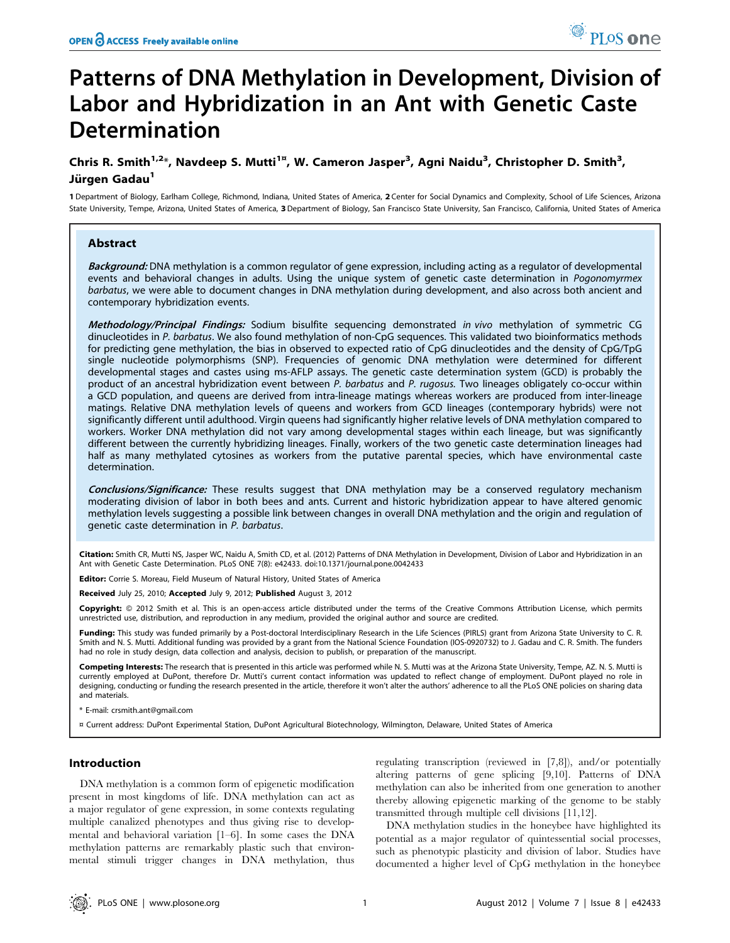# Patterns of DNA Methylation in Development, Division of Labor and Hybridization in an Ant with Genetic Caste Determination

# Chris R. Smith<sup>1,2\*</sup>, Navdeep S. Mutti<sup>1¤</sup>, W. Cameron Jasper<sup>3</sup>, Agni Naidu<sup>3</sup>, Christopher D. Smith<sup>3</sup>, Jürgen Gadau<sup>1</sup>

1 Department of Biology, Earlham College, Richmond, Indiana, United States of America, 2 Center for Social Dynamics and Complexity, School of Life Sciences, Arizona State University, Tempe, Arizona, United States of America, 3 Department of Biology, San Francisco State University, San Francisco, California, United States of America

# **Abstract**

Background: DNA methylation is a common regulator of gene expression, including acting as a regulator of developmental events and behavioral changes in adults. Using the unique system of genetic caste determination in Pogonomyrmex barbatus, we were able to document changes in DNA methylation during development, and also across both ancient and contemporary hybridization events.

Methodology/Principal Findings: Sodium bisulfite sequencing demonstrated in vivo methylation of symmetric CG dinucleotides in P. barbatus. We also found methylation of non-CpG sequences. This validated two bioinformatics methods for predicting gene methylation, the bias in observed to expected ratio of CpG dinucleotides and the density of CpG/TpG single nucleotide polymorphisms (SNP). Frequencies of genomic DNA methylation were determined for different developmental stages and castes using ms-AFLP assays. The genetic caste determination system (GCD) is probably the product of an ancestral hybridization event between P. barbatus and P. rugosus. Two lineages obligately co-occur within a GCD population, and queens are derived from intra-lineage matings whereas workers are produced from inter-lineage matings. Relative DNA methylation levels of queens and workers from GCD lineages (contemporary hybrids) were not significantly different until adulthood. Virgin queens had significantly higher relative levels of DNA methylation compared to workers. Worker DNA methylation did not vary among developmental stages within each lineage, but was significantly different between the currently hybridizing lineages. Finally, workers of the two genetic caste determination lineages had half as many methylated cytosines as workers from the putative parental species, which have environmental caste determination.

**Conclusions/Significance:** These results suggest that DNA methylation may be a conserved regulatory mechanism moderating division of labor in both bees and ants. Current and historic hybridization appear to have altered genomic methylation levels suggesting a possible link between changes in overall DNA methylation and the origin and regulation of genetic caste determination in P. barbatus.

Citation: Smith CR, Mutti NS, Jasper WC, Naidu A, Smith CD, et al. (2012) Patterns of DNA Methylation in Development, Division of Labor and Hybridization in an Ant with Genetic Caste Determination. PLoS ONE 7(8): e42433. doi:10.1371/journal.pone.0042433

**Editor:** Corrie S. Moreau, Field Museum of Natural History, United States of America

Received July 25, 2010; Accepted July 9, 2012; Published August 3, 2012

Copyright: @ 2012 Smith et al. This is an open-access article distributed under the terms of the Creative Commons Attribution License, which permits unrestricted use, distribution, and reproduction in any medium, provided the original author and source are credited.

Funding: This study was funded primarily by a Post-doctoral Interdisciplinary Research in the Life Sciences (PIRLS) grant from Arizona State University to C. R. Smith and N. S. Mutti. Additional funding was provided by a grant from the National Science Foundation (IOS-0920732) to J. Gadau and C. R. Smith. The funders had no role in study design, data collection and analysis, decision to publish, or preparation of the manuscript.

Competing Interests: The research that is presented in this article was performed while N. S. Mutti was at the Arizona State University, Tempe, AZ. N. S. Mutti is currently employed at DuPont, therefore Dr. Mutti's current contact information was updated to reflect change of employment. DuPont played no role in designing, conducting or funding the research presented in the article, therefore it won't alter the authors' adherence to all the PLoS ONE policies on sharing data and materials.

E-mail: crsmith.ant@gmail.com

¤ Current address: DuPont Experimental Station, DuPont Agricultural Biotechnology, Wilmington, Delaware, United States of America

# Introduction

DNA methylation is a common form of epigenetic modification present in most kingdoms of life. DNA methylation can act as a major regulator of gene expression, in some contexts regulating multiple canalized phenotypes and thus giving rise to developmental and behavioral variation [1–6]. In some cases the DNA methylation patterns are remarkably plastic such that environmental stimuli trigger changes in DNA methylation, thus regulating transcription (reviewed in [7,8]), and/or potentially altering patterns of gene splicing [9,10]. Patterns of DNA methylation can also be inherited from one generation to another thereby allowing epigenetic marking of the genome to be stably transmitted through multiple cell divisions [11,12].

DNA methylation studies in the honeybee have highlighted its potential as a major regulator of quintessential social processes, such as phenotypic plasticity and division of labor. Studies have documented a higher level of CpG methylation in the honeybee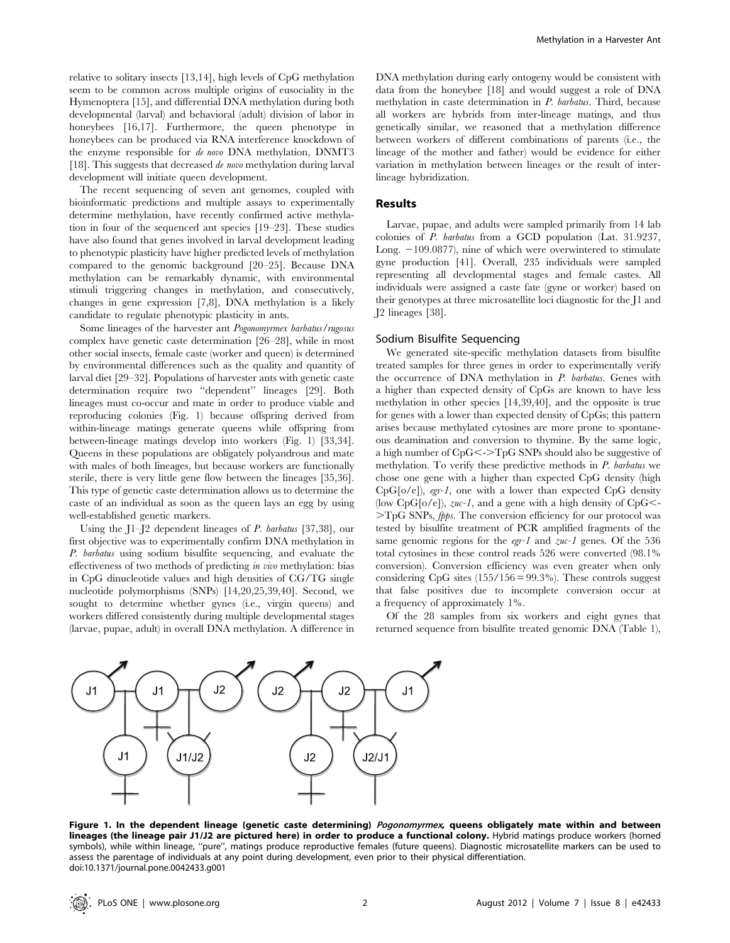relative to solitary insects [13,14], high levels of CpG methylation seem to be common across multiple origins of eusociality in the Hymenoptera [15], and differential DNA methylation during both developmental (larval) and behavioral (adult) division of labor in honeybees [16,17]. Furthermore, the queen phenotype in honeybees can be produced via RNA interference knockdown of the enzyme responsible for de novo DNA methylation, DNMT3 [18]. This suggests that decreased *de novo* methylation during larval development will initiate queen development.

The recent sequencing of seven ant genomes, coupled with bioinformatic predictions and multiple assays to experimentally determine methylation, have recently confirmed active methylation in four of the sequenced ant species [19–23]. These studies have also found that genes involved in larval development leading to phenotypic plasticity have higher predicted levels of methylation compared to the genomic background [20–25]. Because DNA methylation can be remarkably dynamic, with environmental stimuli triggering changes in methylation, and consecutively, changes in gene expression [7,8], DNA methylation is a likely candidate to regulate phenotypic plasticity in ants.

Some lineages of the harvester ant Pogonomyrmex barbatus/rugosus complex have genetic caste determination [26–28], while in most other social insects, female caste (worker and queen) is determined by environmental differences such as the quality and quantity of larval diet [29–32]. Populations of harvester ants with genetic caste determination require two ''dependent'' lineages [29]. Both lineages must co-occur and mate in order to produce viable and reproducing colonies (Fig. 1) because offspring derived from within-lineage matings generate queens while offspring from between-lineage matings develop into workers (Fig. 1) [33,34]. Queens in these populations are obligately polyandrous and mate with males of both lineages, but because workers are functionally sterile, there is very little gene flow between the lineages [35,36]. This type of genetic caste determination allows us to determine the caste of an individual as soon as the queen lays an egg by using well-established genetic markers.

Using the J1–J2 dependent lineages of P. barbatus [37,38], our first objective was to experimentally confirm DNA methylation in P. barbatus using sodium bisulfite sequencing, and evaluate the effectiveness of two methods of predicting in vivo methylation: bias in CpG dinucleotide values and high densities of CG/TG single nucleotide polymorphisms (SNPs) [14,20,25,39,40]. Second, we sought to determine whether gynes (i.e., virgin queens) and workers differed consistently during multiple developmental stages (larvae, pupae, adult) in overall DNA methylation. A difference in DNA methylation during early ontogeny would be consistent with data from the honeybee [18] and would suggest a role of DNA methylation in caste determination in P. barbatus. Third, because all workers are hybrids from inter-lineage matings, and thus genetically similar, we reasoned that a methylation difference between workers of different combinations of parents (i.e., the lineage of the mother and father) would be evidence for either variation in methylation between lineages or the result of interlineage hybridization.

# Results

Larvae, pupae, and adults were sampled primarily from 14 lab colonies of P. barbatus from a GCD population (Lat. 31.9237, Long.  $-109.0877$ ), nine of which were overwintered to stimulate gyne production [41]. Overall, 235 individuals were sampled representing all developmental stages and female castes. All individuals were assigned a caste fate (gyne or worker) based on their genotypes at three microsatellite loci diagnostic for the J1 and J2 lineages [38].

#### Sodium Bisulfite Sequencing

We generated site-specific methylation datasets from bisulfite treated samples for three genes in order to experimentally verify the occurrence of DNA methylation in P. barbatus. Genes with a higher than expected density of CpGs are known to have less methylation in other species [14,39,40], and the opposite is true for genes with a lower than expected density of CpGs; this pattern arises because methylated cytosines are more prone to spontaneous deamination and conversion to thymine. By the same logic, a high number of  $CpG \leq C\sum_{i=1}^{n}$  SNPs should also be suggestive of methylation. To verify these predictive methods in P. barbatus we chose one gene with a higher than expected CpG density (high  $CpG[o/e]$ ), *egr-1*, one with a lower than expected  $CpG$  density (low CpG[o/e]),  $zuc-1$ , and a gene with a high density of CpG $\leq$ - $>$ TpG SNPs, *fpps*. The conversion efficiency for our protocol was tested by bisulfite treatment of PCR amplified fragments of the same genomic regions for the  $e^{gr-1}$  and  $zuc-1$  genes. Of the 536 total cytosines in these control reads 526 were converted (98.1% conversion). Conversion efficiency was even greater when only considering CpG sites (155/156 = 99.3%). These controls suggest that false positives due to incomplete conversion occur at a frequency of approximately 1%.

Of the 28 samples from six workers and eight gynes that returned sequence from bisulfite treated genomic DNA (Table 1),



Figure 1. In the dependent lineage (genetic caste determining) Pogonomyrmex, queens obligately mate within and between lineages (the lineage pair J1/J2 are pictured here) in order to produce a functional colony. Hybrid matings produce workers (horned symbols), while within lineage, ''pure'', matings produce reproductive females (future queens). Diagnostic microsatellite markers can be used to assess the parentage of individuals at any point during development, even prior to their physical differentiation. doi:10.1371/journal.pone.0042433.g001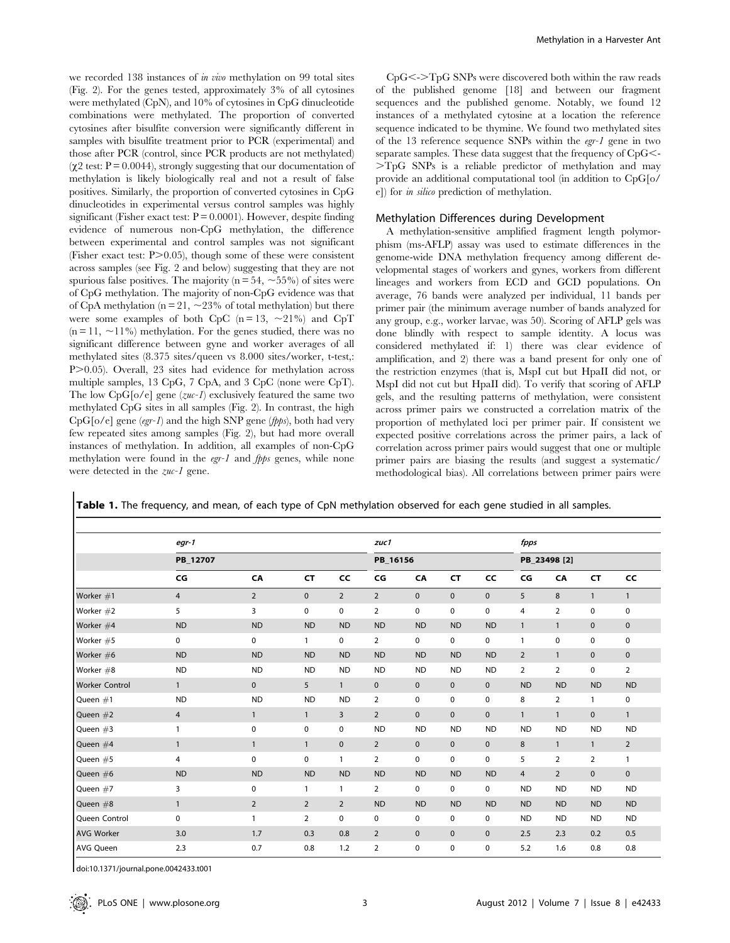we recorded 138 instances of in vivo methylation on 99 total sites (Fig. 2). For the genes tested, approximately 3% of all cytosines were methylated (CpN), and 10% of cytosines in CpG dinucleotide combinations were methylated. The proportion of converted cytosines after bisulfite conversion were significantly different in samples with bisulfite treatment prior to PCR (experimental) and those after PCR (control, since PCR products are not methylated)  $(\chi 2 \text{ test: } P = 0.0044)$ , strongly suggesting that our documentation of methylation is likely biologically real and not a result of false positives. Similarly, the proportion of converted cytosines in CpG dinucleotides in experimental versus control samples was highly significant (Fisher exact test:  $P = 0.0001$ ). However, despite finding evidence of numerous non-CpG methylation, the difference between experimental and control samples was not significant (Fisher exact test:  $P > 0.05$ ), though some of these were consistent across samples (see Fig. 2 and below) suggesting that they are not spurious false positives. The majority ( $n = 54$ ,  $\sim 55\%$ ) of sites were of CpG methylation. The majority of non-CpG evidence was that of CpA methylation ( $n = 21$ ,  $\sim 23\%$  of total methylation) but there were some examples of both CpC  $(n = 13, \sim 21\%)$  and CpT  $(n = 11, \sim 11\%)$  methylation. For the genes studied, there was no significant difference between gyne and worker averages of all methylated sites (8.375 sites/queen vs 8.000 sites/worker, t-test,: P $> 0.05$ ). Overall, 23 sites had evidence for methylation across multiple samples, 13 CpG, 7 CpA, and 3 CpC (none were CpT). The low CpG[o/e] gene  $(zuc-1)$  exclusively featured the same two methylated CpG sites in all samples (Fig. 2). In contrast, the high  $CpG[o/e]$  gene (egr-1) and the high SNP gene (fpps), both had very few repeated sites among samples (Fig. 2), but had more overall instances of methylation. In addition, all examples of non-CpG methylation were found in the *egr-1* and *fpps* genes, while none were detected in the zuc-1 gene.

 $CpG \leq C\sum_{i=1}^{n}$  CpG SNPs were discovered both within the raw reads of the published genome [18] and between our fragment sequences and the published genome. Notably, we found 12 instances of a methylated cytosine at a location the reference sequence indicated to be thymine. We found two methylated sites of the 13 reference sequence SNPs within the egr-1 gene in two separate samples. These data suggest that the frequency of  $CpG<$ - $>$ TpG SNPs is a reliable predictor of methylation and may provide an additional computational tool (in addition to CpG[o/ e]) for in silico prediction of methylation.

#### Methylation Differences during Development

A methylation-sensitive amplified fragment length polymorphism (ms-AFLP) assay was used to estimate differences in the genome-wide DNA methylation frequency among different developmental stages of workers and gynes, workers from different lineages and workers from ECD and GCD populations. On average, 76 bands were analyzed per individual, 11 bands per primer pair (the minimum average number of bands analyzed for any group, e.g., worker larvae, was 50). Scoring of AFLP gels was done blindly with respect to sample identity. A locus was considered methylated if: 1) there was clear evidence of amplification, and 2) there was a band present for only one of the restriction enzymes (that is, MspI cut but HpaII did not, or MspI did not cut but HpaII did). To verify that scoring of AFLP gels, and the resulting patterns of methylation, were consistent across primer pairs we constructed a correlation matrix of the proportion of methylated loci per primer pair. If consistent we expected positive correlations across the primer pairs, a lack of correlation across primer pairs would suggest that one or multiple primer pairs are biasing the results (and suggest a systematic/ methodological bias). All correlations between primer pairs were

|                       | $eqr-1$<br>PB_12707 |                |                |                | zuc1<br>PB_16156 |              |             |              | fpps<br>PB_23498 [2] |                |                |                |
|-----------------------|---------------------|----------------|----------------|----------------|------------------|--------------|-------------|--------------|----------------------|----------------|----------------|----------------|
|                       |                     |                |                |                |                  |              |             |              |                      |                |                |                |
|                       | CG                  | CA             | <b>CT</b>      | cc             | CG               | CA           | <b>CT</b>   | CC           | CG                   | CA             | <b>CT</b>      | cc             |
| Worker $#1$           | $\overline{4}$      | $\overline{2}$ | $\mathbf{0}$   | $\overline{2}$ | $\overline{2}$   | $\mathbf{0}$ | $\mathbf 0$ | $\mathbf{0}$ | 5                    | 8              | $\mathbf{1}$   | $\mathbf{1}$   |
| Worker #2             | 5                   | 3              | $\mathbf 0$    | 0              | $\overline{2}$   | 0            | 0           | 0            | 4                    | $\overline{2}$ | 0              | $\pmb{0}$      |
| Worker #4             | <b>ND</b>           | <b>ND</b>      | <b>ND</b>      | <b>ND</b>      | <b>ND</b>        | <b>ND</b>    | <b>ND</b>   | <b>ND</b>    | $\mathbf{1}$         | $\mathbf{1}$   | $\mathbf 0$    | $\pmb{0}$      |
| Worker $#5$           | 0                   | 0              | $\mathbf{1}$   | 0              | $\overline{2}$   | 0            | 0           | 0            | $\mathbf{1}$         | $\mathbf 0$    | 0              | $\mathbf 0$    |
| Worker #6             | <b>ND</b>           | <b>ND</b>      | <b>ND</b>      | <b>ND</b>      | <b>ND</b>        | <b>ND</b>    | <b>ND</b>   | <b>ND</b>    | $\overline{2}$       | $\mathbf{1}$   | $\mathbf 0$    | $\pmb{0}$      |
| Worker #8             | <b>ND</b>           | <b>ND</b>      | <b>ND</b>      | <b>ND</b>      | <b>ND</b>        | <b>ND</b>    | <b>ND</b>   | <b>ND</b>    | $\overline{2}$       | $\overline{2}$ | 0              | $\overline{2}$ |
| <b>Worker Control</b> | $\mathbf{1}$        | $\mathbf 0$    | 5              | $\mathbf{1}$   | $\mathbf 0$      | $\mathbf{0}$ | $\mathbf 0$ | $\mathbf{0}$ | <b>ND</b>            | <b>ND</b>      | <b>ND</b>      | <b>ND</b>      |
| Queen #1              | <b>ND</b>           | <b>ND</b>      | <b>ND</b>      | <b>ND</b>      | $\overline{2}$   | 0            | 0           | $\pmb{0}$    | 8                    | $\overline{2}$ | $\mathbf{1}$   | $\mathbf 0$    |
| Queen #2              | $\overline{4}$      | $\mathbf{1}$   | $\mathbf{1}$   | 3              | $\overline{2}$   | $\mathbf 0$  | $\mathbf 0$ | $\pmb{0}$    | $\mathbf{1}$         | $\mathbf{1}$   | $\mathbf 0$    | $\mathbf{1}$   |
| Queen $#3$            | $\mathbf{1}$        | $\pmb{0}$      | $\mathbf 0$    | $\pmb{0}$      | <b>ND</b>        | <b>ND</b>    | <b>ND</b>   | <b>ND</b>    | <b>ND</b>            | <b>ND</b>      | <b>ND</b>      | <b>ND</b>      |
| Queen #4              | $\mathbf{1}$        | $\mathbf{1}$   | $\overline{1}$ | $\mathbf 0$    | $\overline{2}$   | $\mathbf{0}$ | $\mathbf 0$ | $\mathbf{0}$ | 8                    | $\mathbf{1}$   | $\mathbf{1}$   | $\overline{2}$ |
| Queen #5              | $\overline{4}$      | $\Omega$       | $\mathbf 0$    | $\mathbf{1}$   | $\overline{2}$   | 0            | 0           | $\mathbf 0$  | 5                    | $\overline{2}$ | $\overline{2}$ | $\mathbf{1}$   |
| Queen #6              | <b>ND</b>           | <b>ND</b>      | <b>ND</b>      | <b>ND</b>      | <b>ND</b>        | <b>ND</b>    | <b>ND</b>   | <b>ND</b>    | $\overline{4}$       | $\overline{2}$ | $\mathbf{0}$   | $\mathbf 0$    |
| Queen #7              | 3                   | 0              | $\mathbf{1}$   | $\mathbf{1}$   | $\overline{2}$   | 0            | 0           | $\mathbf 0$  | <b>ND</b>            | <b>ND</b>      | <b>ND</b>      | <b>ND</b>      |
| Queen #8              | $\mathbf{1}$        | $\overline{2}$ | $\overline{2}$ | $\overline{2}$ | <b>ND</b>        | <b>ND</b>    | <b>ND</b>   | <b>ND</b>    | <b>ND</b>            | <b>ND</b>      | <b>ND</b>      | <b>ND</b>      |
| Queen Control         | $\pmb{0}$           | $\mathbf{1}$   | 2              | $\pmb{0}$      | $\pmb{0}$        | 0            | 0           | $\pmb{0}$    | <b>ND</b>            | <b>ND</b>      | <b>ND</b>      | <b>ND</b>      |
| <b>AVG Worker</b>     | 3.0                 | 1.7            | 0.3            | 0.8            | $\overline{2}$   | $\mathbf 0$  | $\mathbf 0$ | $\pmb{0}$    | 2.5                  | 2.3            | 0.2            | 0.5            |
| AVG Queen             | 2.3                 | 0.7            | 0.8            | 1.2            | $\overline{2}$   | 0            | $\pmb{0}$   | $\pmb{0}$    | 5.2                  | 1.6            | 0.8            | 0.8            |

Table 1. The frequency, and mean, of each type of CpN methylation observed for each gene studied in all samples.

doi:10.1371/journal.pone.0042433.t001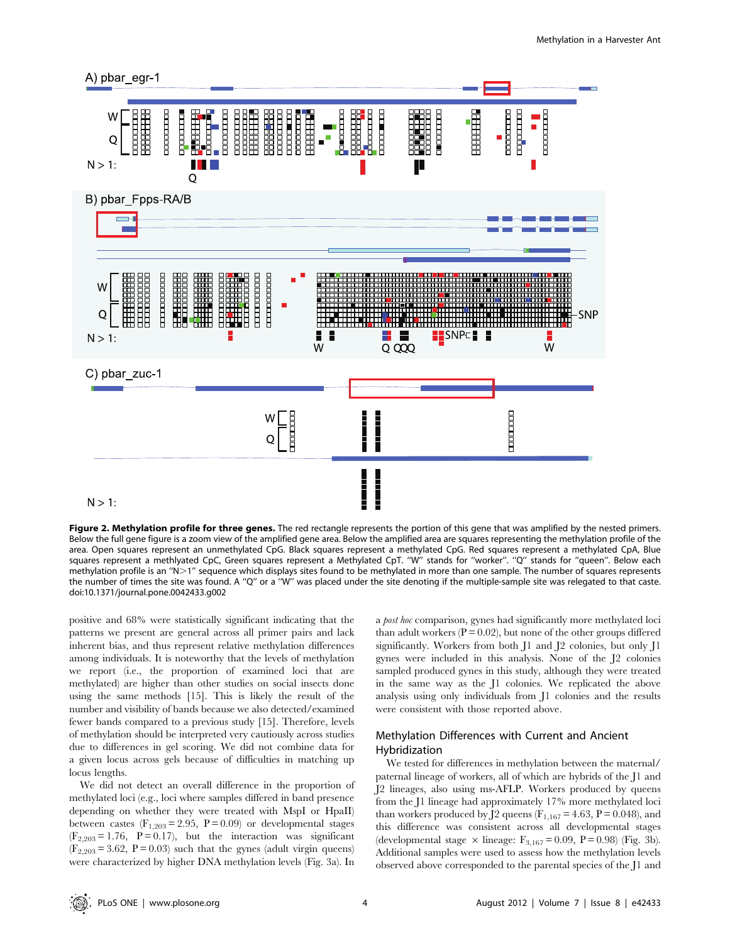

Figure 2. Methylation profile for three genes. The red rectangle represents the portion of this gene that was amplified by the nested primers. Below the full gene figure is a zoom view of the amplified gene area. Below the amplified area are squares representing the methylation profile of the area. Open squares represent an unmethylated CpG. Black squares represent a methylated CpG. Red squares represent a methylated CpA, Blue squares represent a methlyated CpC, Green squares represent a Methylated CpT. ''W'' stands for ''worker''. ''Q'' stands for ''queen''. Below each methylation profile is an "N>1" sequence which displays sites found to be methylated in more than one sample. The number of squares represents the number of times the site was found. A ''Q'' or a ''W'' was placed under the site denoting if the multiple-sample site was relegated to that caste. doi:10.1371/journal.pone.0042433.g002

positive and 68% were statistically significant indicating that the patterns we present are general across all primer pairs and lack inherent bias, and thus represent relative methylation differences among individuals. It is noteworthy that the levels of methylation we report (i.e., the proportion of examined loci that are methylated) are higher than other studies on social insects done using the same methods [15]. This is likely the result of the number and visibility of bands because we also detected/examined fewer bands compared to a previous study [15]. Therefore, levels of methylation should be interpreted very cautiously across studies due to differences in gel scoring. We did not combine data for a given locus across gels because of difficulties in matching up locus lengths.

We did not detect an overall difference in the proportion of methylated loci (e.g., loci where samples differed in band presence depending on whether they were treated with MspI or HpaII) between castes  $(F_{1,203} = 2.95, P = 0.09)$  or developmental stages  $(F_{2,203} = 1.76, P = 0.17)$ , but the interaction was significant  $(F_{2,203} = 3.62, P = 0.03)$  such that the gynes (adult virgin queens) were characterized by higher DNA methylation levels (Fig. 3a). In a post hoc comparison, gynes had significantly more methylated loci than adult workers ( $P = 0.02$ ), but none of the other groups differed significantly. Workers from both J1 and J2 colonies, but only J1 gynes were included in this analysis. None of the J2 colonies sampled produced gynes in this study, although they were treated in the same way as the J1 colonies. We replicated the above analysis using only individuals from J1 colonies and the results were consistent with those reported above.

# Methylation Differences with Current and Ancient Hybridization

We tested for differences in methylation between the maternal/ paternal lineage of workers, all of which are hybrids of the J1 and J2 lineages, also using ms-AFLP. Workers produced by queens from the J1 lineage had approximately 17% more methylated loci than workers produced by J2 queens ( $F_{1,167} = 4.63$ ,  $P = 0.048$ ), and this difference was consistent across all developmental stages (developmental stage  $\times$  lineage:  $F_{3,167} = 0.09$ ,  $P = 0.98$ ) (Fig. 3b). Additional samples were used to assess how the methylation levels observed above corresponded to the parental species of the J1 and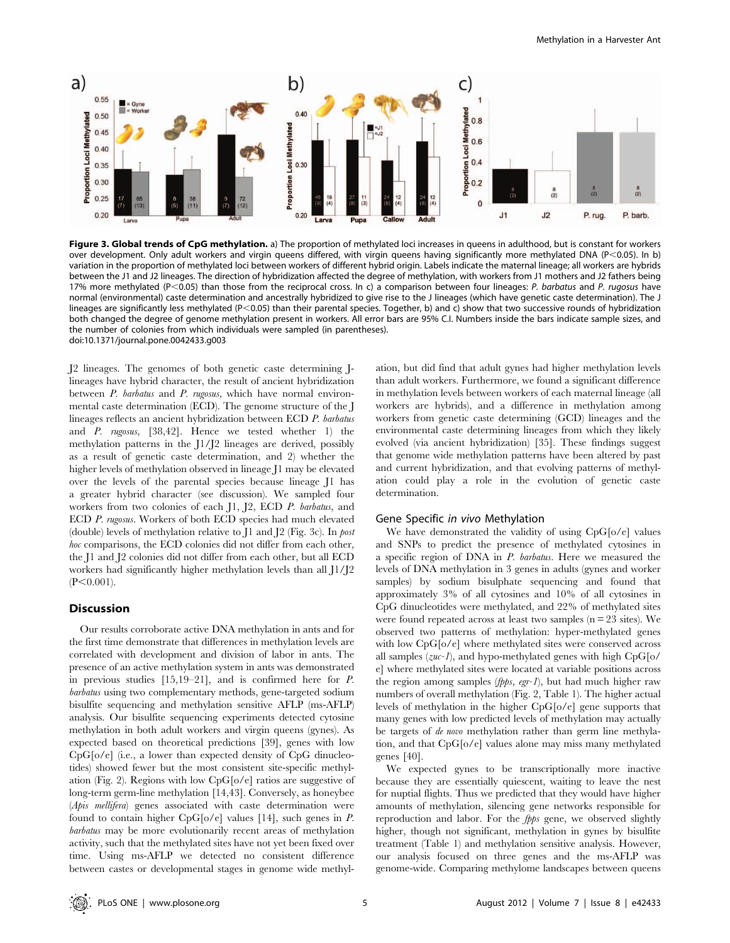

Figure 3. Global trends of CpG methylation. a) The proportion of methylated loci increases in queens in adulthood, but is constant for workers over development. Only adult workers and virgin queens differed, with virgin queens having significantly more methylated DNA ( $P < 0.05$ ). In b) variation in the proportion of methylated loci between workers of different hybrid origin. Labels indicate the maternal lineage; all workers are hybrids between the J1 and J2 lineages. The direction of hybridization affected the degree of methylation, with workers from J1 mothers and J2 fathers being 17% more methylated (P<0.05) than those from the reciprocal cross. In c) a comparison between four lineages: P. barbatus and P. rugosus have normal (environmental) caste determination and ancestrally hybridized to give rise to the J lineages (which have genetic caste determination). The J lineages are significantly less methylated ( $P<0.05$ ) than their parental species. Together, b) and c) show that two successive rounds of hybridization both changed the degree of genome methylation present in workers. All error bars are 95% C.I. Numbers inside the bars indicate sample sizes, and the number of colonies from which individuals were sampled (in parentheses). doi:10.1371/journal.pone.0042433.g003

J2 lineages. The genomes of both genetic caste determining Jlineages have hybrid character, the result of ancient hybridization between P. barbatus and P. rugosus, which have normal environmental caste determination (ECD). The genome structure of the J lineages reflects an ancient hybridization between ECD P. barbatus and P. rugosus, [38,42]. Hence we tested whether 1) the methylation patterns in the J1/J2 lineages are derived, possibly as a result of genetic caste determination, and 2) whether the higher levels of methylation observed in lineage J1 may be elevated over the levels of the parental species because lineage J1 has a greater hybrid character (see discussion). We sampled four workers from two colonies of each J1, J2, ECD P. barbatus, and ECD P. rugosus. Workers of both ECD species had much elevated (double) levels of methylation relative to J1 and J2 (Fig. 3c). In post hoc comparisons, the ECD colonies did not differ from each other, the J1 and J2 colonies did not differ from each other, but all ECD workers had significantly higher methylation levels than all J1/J2  $(P<0.001)$ .

# Discussion

Our results corroborate active DNA methylation in ants and for the first time demonstrate that differences in methylation levels are correlated with development and division of labor in ants. The presence of an active methylation system in ants was demonstrated in previous studies [15,19–21], and is confirmed here for P. barbatus using two complementary methods, gene-targeted sodium bisulfite sequencing and methylation sensitive AFLP (ms-AFLP) analysis. Our bisulfite sequencing experiments detected cytosine methylation in both adult workers and virgin queens (gynes). As expected based on theoretical predictions [39], genes with low CpG[o/e] (i.e., a lower than expected density of CpG dinucleotides) showed fewer but the most consistent site-specific methylation (Fig. 2). Regions with low CpG[o/e] ratios are suggestive of long-term germ-line methylation [14,43]. Conversely, as honeybee (Apis mellifera) genes associated with caste determination were found to contain higher CpG[o/e] values [14], such genes in P. barbatus may be more evolutionarily recent areas of methylation activity, such that the methylated sites have not yet been fixed over time. Using ms-AFLP we detected no consistent difference between castes or developmental stages in genome wide methylation, but did find that adult gynes had higher methylation levels than adult workers. Furthermore, we found a significant difference in methylation levels between workers of each maternal lineage (all workers are hybrids), and a difference in methylation among workers from genetic caste determining (GCD) lineages and the environmental caste determining lineages from which they likely evolved (via ancient hybridization) [35]. These findings suggest that genome wide methylation patterns have been altered by past and current hybridization, and that evolving patterns of methylation could play a role in the evolution of genetic caste determination.

# Gene Specific in vivo Methylation

We have demonstrated the validity of using CpG[o/e] values and SNPs to predict the presence of methylated cytosines in a specific region of DNA in P. barbatus. Here we measured the levels of DNA methylation in 3 genes in adults (gynes and worker samples) by sodium bisulphate sequencing and found that approximately 3% of all cytosines and 10% of all cytosines in CpG dinucleotides were methylated, and 22% of methylated sites were found repeated across at least two samples  $(n = 23$  sites). We observed two patterns of methylation: hyper-methylated genes with low CpG[o/e] where methylated sites were conserved across all samples  $(zuc-1)$ , and hypo-methylated genes with high CpG[o/ e] where methylated sites were located at variable positions across the region among samples ( $fpps$ , egr-1), but had much higher raw numbers of overall methylation (Fig. 2, Table 1). The higher actual levels of methylation in the higher CpG[o/e] gene supports that many genes with low predicted levels of methylation may actually be targets of de novo methylation rather than germ line methylation, and that CpG[o/e] values alone may miss many methylated genes [40].

We expected gynes to be transcriptionally more inactive because they are essentially quiescent, waiting to leave the nest for nuptial flights. Thus we predicted that they would have higher amounts of methylation, silencing gene networks responsible for reproduction and labor. For the *fpps* gene, we observed slightly higher, though not significant, methylation in gynes by bisulfite treatment (Table 1) and methylation sensitive analysis. However, our analysis focused on three genes and the ms-AFLP was genome-wide. Comparing methylome landscapes between queens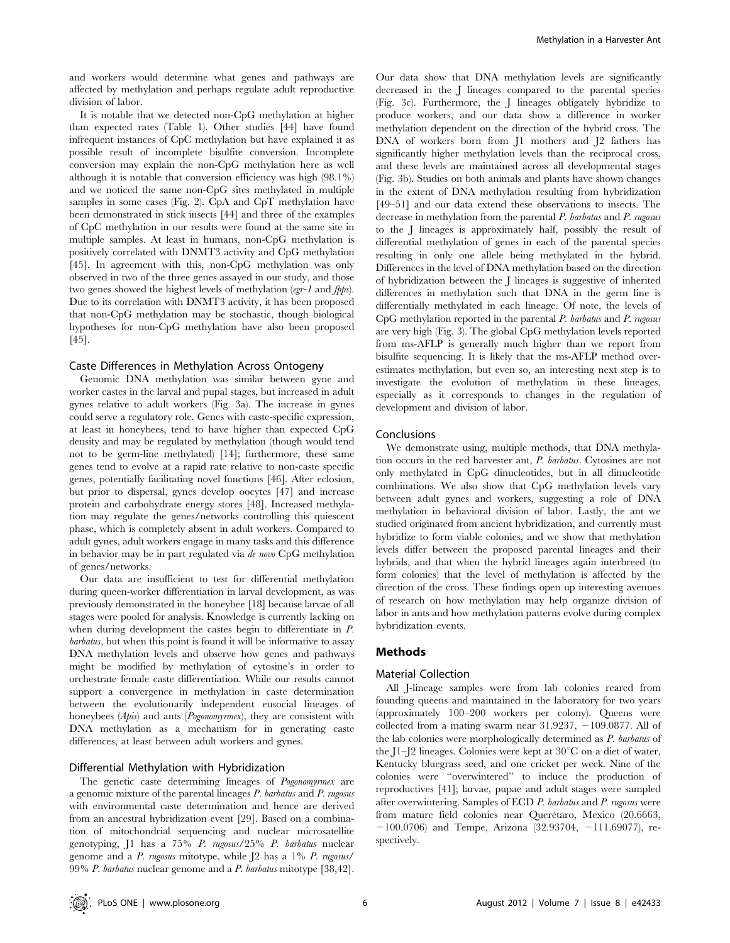and workers would determine what genes and pathways are affected by methylation and perhaps regulate adult reproductive division of labor.

It is notable that we detected non-CpG methylation at higher than expected rates (Table 1). Other studies [44] have found infrequent instances of CpC methylation but have explained it as possible result of incomplete bisulfite conversion. Incomplete conversion may explain the non-CpG methylation here as well although it is notable that conversion efficiency was high (98.1%) and we noticed the same non-CpG sites methylated in multiple samples in some cases (Fig. 2). CpA and CpT methylation have been demonstrated in stick insects [44] and three of the examples of CpC methylation in our results were found at the same site in multiple samples. At least in humans, non-CpG methylation is positively correlated with DNMT3 activity and CpG methylation [45]. In agreement with this, non-CpG methylation was only observed in two of the three genes assayed in our study, and those two genes showed the highest levels of methylation (egr-1 and fpps). Due to its correlation with DNMT3 activity, it has been proposed that non-CpG methylation may be stochastic, though biological hypotheses for non-CpG methylation have also been proposed [45].

#### Caste Differences in Methylation Across Ontogeny

Genomic DNA methylation was similar between gyne and worker castes in the larval and pupal stages, but increased in adult gynes relative to adult workers (Fig. 3a). The increase in gynes could serve a regulatory role. Genes with caste-specific expression, at least in honeybees, tend to have higher than expected CpG density and may be regulated by methylation (though would tend not to be germ-line methylated) [14]; furthermore, these same genes tend to evolve at a rapid rate relative to non-caste specific genes, potentially facilitating novel functions [46]. After eclosion, but prior to dispersal, gynes develop oocytes [47] and increase protein and carbohydrate energy stores [48]. Increased methylation may regulate the genes/networks controlling this quiescent phase, which is completely absent in adult workers. Compared to adult gynes, adult workers engage in many tasks and this difference in behavior may be in part regulated via de novo CpG methylation of genes/networks.

Our data are insufficient to test for differential methylation during queen-worker differentiation in larval development, as was previously demonstrated in the honeybee [18] because larvae of all stages were pooled for analysis. Knowledge is currently lacking on when during development the castes begin to differentiate in P. barbatus, but when this point is found it will be informative to assay DNA methylation levels and observe how genes and pathways might be modified by methylation of cytosine's in order to orchestrate female caste differentiation. While our results cannot support a convergence in methylation in caste determination between the evolutionarily independent eusocial lineages of honeybees (Apis) and ants (Pogonomyrmex), they are consistent with DNA methylation as a mechanism for in generating caste differences, at least between adult workers and gynes.

# Differential Methylation with Hybridization

The genetic caste determining lineages of Pogonomyrmex are a genomic mixture of the parental lineages P. barbatus and P. rugosus with environmental caste determination and hence are derived from an ancestral hybridization event [29]. Based on a combination of mitochondrial sequencing and nuclear microsatellite genotyping, J1 has a 75% P. rugosus/25% P. barbatus nuclear genome and a P. rugosus mitotype, while  $J2$  has a  $1\%$  P. rugosus/ 99% P. barbatus nuclear genome and a P. barbatus mitotype [38,42]. Our data show that DNA methylation levels are significantly decreased in the J lineages compared to the parental species (Fig. 3c). Furthermore, the J lineages obligately hybridize to produce workers, and our data show a difference in worker methylation dependent on the direction of the hybrid cross. The DNA of workers born from J1 mothers and J2 fathers has significantly higher methylation levels than the reciprocal cross, and these levels are maintained across all developmental stages (Fig. 3b). Studies on both animals and plants have shown changes in the extent of DNA methylation resulting from hybridization [49–51] and our data extend these observations to insects. The decrease in methylation from the parental P. barbatus and P. rugosus to the J lineages is approximately half, possibly the result of differential methylation of genes in each of the parental species resulting in only one allele being methylated in the hybrid. Differences in the level of DNA methylation based on the direction of hybridization between the J lineages is suggestive of inherited differences in methylation such that DNA in the germ line is differentially methylated in each lineage. Of note, the levels of CpG methylation reported in the parental P. barbatus and P. rugosus are very high (Fig. 3). The global CpG methylation levels reported from ms-AFLP is generally much higher than we report from bisulfite sequencing. It is likely that the ms-AFLP method overestimates methylation, but even so, an interesting next step is to investigate the evolution of methylation in these lineages, especially as it corresponds to changes in the regulation of development and division of labor.

## Conclusions

We demonstrate using, multiple methods, that DNA methylation occurs in the red harvester ant, P. barbatus. Cytosines are not only methylated in CpG dinucleotides, but in all dinucleotide combinations. We also show that CpG methylation levels vary between adult gynes and workers, suggesting a role of DNA methylation in behavioral division of labor. Lastly, the ant we studied originated from ancient hybridization, and currently must hybridize to form viable colonies, and we show that methylation levels differ between the proposed parental lineages and their hybrids, and that when the hybrid lineages again interbreed (to form colonies) that the level of methylation is affected by the direction of the cross. These findings open up interesting avenues of research on how methylation may help organize division of labor in ants and how methylation patterns evolve during complex hybridization events.

#### Methods

# Material Collection

All J-lineage samples were from lab colonies reared from founding queens and maintained in the laboratory for two years (approximately 100–200 workers per colony). Queens were collected from a mating swarm near  $31.9237$ ,  $-109.0877$ . All of the lab colonies were morphologically determined as P. barbatus of the I1–I2 lineages. Colonies were kept at  $30^{\circ}$ C on a diet of water, Kentucky bluegrass seed, and one cricket per week. Nine of the colonies were ''overwintered'' to induce the production of reproductives [41]; larvae, pupae and adult stages were sampled after overwintering. Samples of ECD P. barbatus and P. rugosus were from mature field colonies near Ouerétaro, Mexico (20.6663,  $-100.0706$ ) and Tempe, Arizona (32.93704,  $-111.69077$ ), respectively.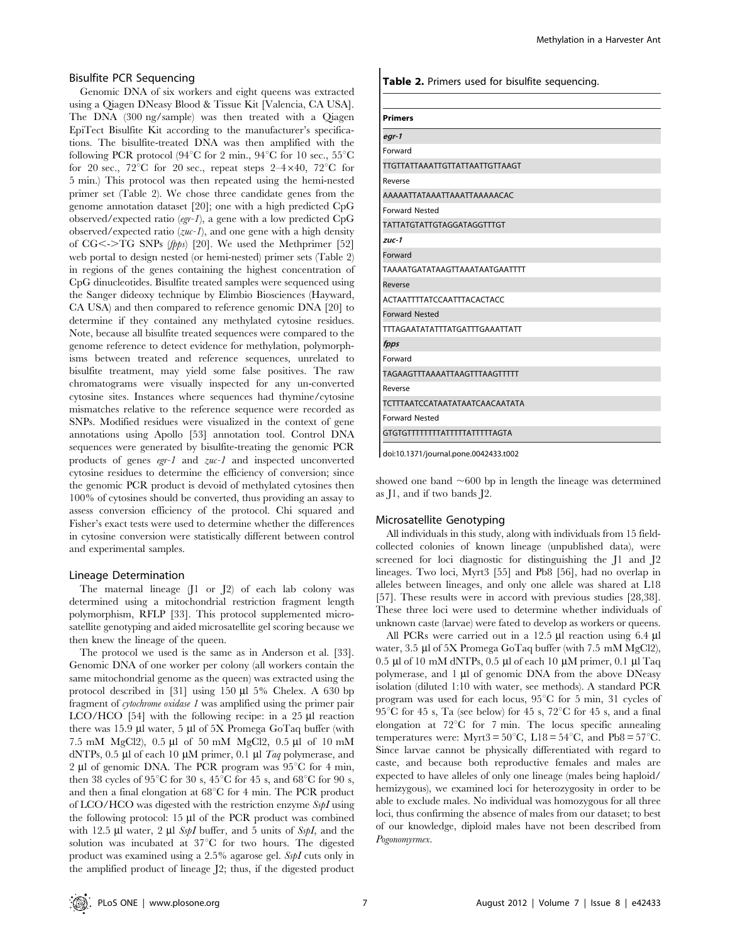# Bisulfite PCR Sequencing

Genomic DNA of six workers and eight queens was extracted using a Qiagen DNeasy Blood & Tissue Kit [Valencia, CA USA]. The DNA (300 ng/sample) was then treated with a Qiagen EpiTect Bisulfite Kit according to the manufacturer's specifications. The bisulfite-treated DNA was then amplified with the following PCR protocol (94 $\mathrm{°C}$  for 2 min., 94 $\mathrm{°C}$  for 10 sec., 55 $\mathrm{°C}$ for 20 sec., 72<sup>°</sup>C for 20 sec., repeat steps  $2-4\times40$ , 72<sup>°</sup>C for 5 min.) This protocol was then repeated using the hemi-nested primer set (Table 2). We chose three candidate genes from the genome annotation dataset [20]; one with a high predicted CpG observed/expected ratio (egr-1), a gene with a low predicted CpG observed/expected ratio  $(zuc-1)$ , and one gene with a high density of  $CG \leq TG$  SNPs (*fpps*) [20]. We used the Methprimer [52] web portal to design nested (or hemi-nested) primer sets (Table 2) in regions of the genes containing the highest concentration of CpG dinucleotides. Bisulfite treated samples were sequenced using the Sanger dideoxy technique by Elimbio Biosciences (Hayward, CA USA) and then compared to reference genomic DNA [20] to determine if they contained any methylated cytosine residues. Note, because all bisulfite treated sequences were compared to the genome reference to detect evidence for methylation, polymorphisms between treated and reference sequences, unrelated to bisulfite treatment, may yield some false positives. The raw chromatograms were visually inspected for any un-converted cytosine sites. Instances where sequences had thymine/cytosine mismatches relative to the reference sequence were recorded as SNPs. Modified residues were visualized in the context of gene annotations using Apollo [53] annotation tool. Control DNA sequences were generated by bisulfite-treating the genomic PCR products of genes egr-1 and zuc-1 and inspected unconverted cytosine residues to determine the efficiency of conversion; since the genomic PCR product is devoid of methylated cytosines then 100% of cytosines should be converted, thus providing an assay to assess conversion efficiency of the protocol. Chi squared and Fisher's exact tests were used to determine whether the differences in cytosine conversion were statistically different between control and experimental samples.

#### Lineage Determination

The maternal lineage (J1 or J2) of each lab colony was determined using a mitochondrial restriction fragment length polymorphism, RFLP [33]. This protocol supplemented microsatellite genotyping and aided microsatellite gel scoring because we then knew the lineage of the queen.

The protocol we used is the same as in Anderson et al. [33]. Genomic DNA of one worker per colony (all workers contain the same mitochondrial genome as the queen) was extracted using the protocol described in [31] using  $150 \mu l$  5% Chelex. A 630 bp fragment of cytochrome oxidase 1 was amplified using the primer pair LCO/HCO  $[54]$  with the following recipe: in a 25  $\mu$ l reaction there was 15.9  $\mu$ l water, 5  $\mu$ l of 5X Promega GoTaq buffer (with 7.5 mM MgCl2), 0.5 ml of 50 mM MgCl2, 0.5 ml of 10 mM dNTPs, 0.5 µl of each 10 µM primer, 0.1 µl  $Taq$  polymerase, and 2 µl of genomic DNA. The PCR program was  $95^{\circ}$ C for 4 min, then 38 cycles of 95 $^{\circ}$ C for 30 s, 45 $^{\circ}$ C for 45 s, and 68 $^{\circ}$ C for 90 s, and then a final elongation at  $68^{\circ}$ C for 4 min. The PCR product of LCO/HCO was digested with the restriction enzyme  $SspI$  using the following protocol:  $15 \mu l$  of the PCR product was combined with 12.5  $\mu$ l water, 2  $\mu$ l SspI buffer, and 5 units of SspI, and the solution was incubated at  $37^{\circ}$ C for two hours. The digested product was examined using a 2.5% agarose gel. SspI cuts only in the amplified product of lineage J2; thus, if the digested product Table 2. Primers used for bisulfite sequencing.

| Primers                               |
|---------------------------------------|
| egr-1                                 |
| Forward                               |
| <b>TIGTTATTAAATTGTTATTAATTGTTAAGT</b> |
| Reverse                               |
| AAAAATTATAAATTAAATTAAAAACAC           |
| <b>Forward Nested</b>                 |
| TATTATGTATTGTAGGATAGGTTTGT            |
| zuc-1                                 |
| Forward                               |
| TAAAATGATATAAGTTAAATAATGAATTTT        |
| Reverse                               |
| <b>ACTAATTTTATCCAATTTACACTACC</b>     |
| <b>Forward Nested</b>                 |
| <b>TTTAGAATATATTTATGATTTGAAATTATT</b> |
| fpps                                  |
| Forward                               |
| TAGAAGTTTAAAATTAAGTTTAAGTTTTT         |
| Reverse                               |
| TCTTTAATCCATAATATAATCAACAATATA        |
| <b>Forward Nested</b>                 |
| <b>GTGTGTTTTTTTTATTTTTATTTTTAGTA</b>  |
| doi:10.1371/journal.pone.0042433.t002 |

showed one band  $\sim600$  bp in length the lineage was determined as J1, and if two bands J2.

#### Microsatellite Genotyping

All individuals in this study, along with individuals from 15 fieldcollected colonies of known lineage (unpublished data), were screened for loci diagnostic for distinguishing the J1 and J2 lineages. Two loci, Myrt3 [55] and Pb8 [56], had no overlap in alleles between lineages, and only one allele was shared at L18 [57]. These results were in accord with previous studies [28,38]. These three loci were used to determine whether individuals of unknown caste (larvae) were fated to develop as workers or queens.

All PCRs were carried out in a  $12.5 \mu l$  reaction using 6.4  $\mu l$ water, 3.5 ml of 5X Promega GoTaq buffer (with 7.5 mM MgCl2), 0.5  $\mu$ l of 10 mM dNTPs, 0.5  $\mu$ l of each 10  $\mu$ M primer, 0.1  $\mu$ l Taq polymerase, and  $1 \mu l$  of genomic DNA from the above DNeasy isolation (diluted 1:10 with water, see methods). A standard PCR program was used for each locus,  $95^{\circ}$ C for 5 min, 31 cycles of 95<sup>°</sup>C for 45 s, Ta (see below) for 45 s, 72<sup>°</sup>C for 45 s, and a final elongation at  $72^{\circ}$ C for 7 min. The locus specific annealing temperatures were: Myrt3 =  $50^{\circ}$ C, L18 =  $54^{\circ}$ C, and Pb8 =  $57^{\circ}$ C. Since larvae cannot be physically differentiated with regard to caste, and because both reproductive females and males are expected to have alleles of only one lineage (males being haploid/ hemizygous), we examined loci for heterozygosity in order to be able to exclude males. No individual was homozygous for all three loci, thus confirming the absence of males from our dataset; to best of our knowledge, diploid males have not been described from Pogonomyrmex.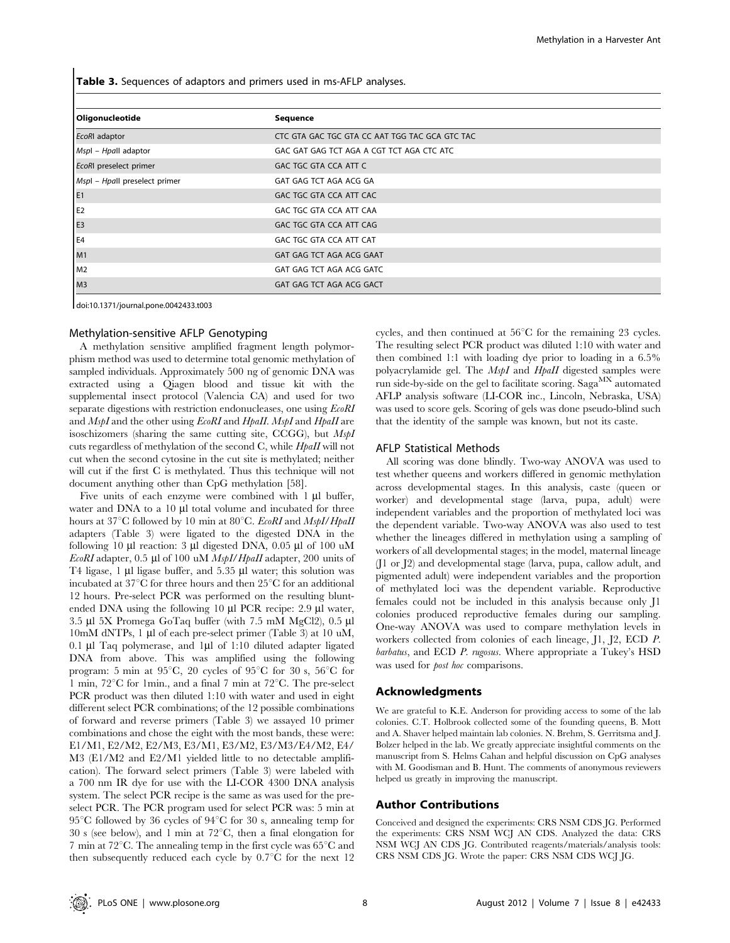Table 3. Sequences of adaptors and primers used in ms-AFLP analyses.

| Oligonucleotide               | Sequence                                       |
|-------------------------------|------------------------------------------------|
| EcoRI adaptor                 | CTC GTA GAC TGC GTA CC AAT TGG TAC GCA GTC TAC |
| Mspl - Hpall adaptor          | GAC GAT GAG TCT AGA A CGT TCT AGA CTC ATC      |
| EcoRI preselect primer        | GAC TGC GTA CCA ATT C                          |
| Mspl - Hpall preselect primer | GAT GAG TCT AGA ACG GA                         |
| E <sub>1</sub>                | GAC TGC GTA CCA ATT CAC                        |
| E <sub>2</sub>                | GAC TGC GTA CCA ATT CAA                        |
| E <sub>3</sub>                | GAC TGC GTA CCA ATT CAG                        |
| E4                            | GAC TGC GTA CCA ATT CAT                        |
| M <sub>1</sub>                | GAT GAG TCT AGA ACG GAAT                       |
| M <sub>2</sub>                | GAT GAG TCT AGA ACG GATC                       |
| IM3                           | GAT GAG TCT AGA ACG GACT                       |

doi:10.1371/journal.pone.0042433.t003

## Methylation-sensitive AFLP Genotyping

A methylation sensitive amplified fragment length polymorphism method was used to determine total genomic methylation of sampled individuals. Approximately 500 ng of genomic DNA was extracted using a Qiagen blood and tissue kit with the supplemental insect protocol (Valencia CA) and used for two separate digestions with restriction endonucleases, one using  $E \in \mathbb{R}$ and MspI and the other using EcoRI and HpaII. MspI and HpaII are isoschizomers (sharing the same cutting site, CCGG), but MspI cuts regardless of methylation of the second C, while *HbaII* will not cut when the second cytosine in the cut site is methylated; neither will cut if the first C is methylated. Thus this technique will not document anything other than CpG methylation [58].

Five units of each enzyme were combined with  $1 \mu l$  buffer, water and DNA to a 10 µl total volume and incubated for three hours at 37°C followed by 10 min at 80°C. EcoRI and MspI/HpaII adapters (Table 3) were ligated to the digested DNA in the following 10  $\mu$ l reaction: 3  $\mu$ l digested DNA, 0.05  $\mu$ l of 100 uM EcoRI adapter, 0.5 µl of 100 uM MspI/HpaII adapter, 200 units of T4 ligase,  $1 \mu l$  ligase buffer, and  $5.35 \mu l$  water; this solution was incubated at 37 $\mathrm{^{\circ}C}$  for three hours and then 25 $\mathrm{^{\circ}C}$  for an additional 12 hours. Pre-select PCR was performed on the resulting bluntended DNA using the following 10  $\mu$ l PCR recipe: 2.9  $\mu$ l water, 3.5 ml 5X Promega GoTaq buffer (with 7.5 mM MgCl2), 0.5 ml  $10 \text{mM}$  dNTPs, 1 µl of each pre-select primer (Table 3) at 10 uM, 0.1  $\mu$ l Taq polymerase, and  $1\mu$ l of 1:10 diluted adapter ligated DNA from above. This was amplified using the following program: 5 min at  $95^{\circ}$ C, 20 cycles of  $95^{\circ}$ C for 30 s,  $56^{\circ}$ C for 1 min,  $72^{\circ}$ C for 1min., and a final 7 min at  $72^{\circ}$ C. The pre-select PCR product was then diluted 1:10 with water and used in eight different select PCR combinations; of the 12 possible combinations of forward and reverse primers (Table 3) we assayed 10 primer combinations and chose the eight with the most bands, these were: E1/M1, E2/M2, E2/M3, E3/M1, E3/M2, E3/M3/E4/M2, E4/ M3 (E1/M2 and E2/M1 yielded little to no detectable amplification). The forward select primers (Table 3) were labeled with a 700 nm IR dye for use with the LI-COR 4300 DNA analysis system. The select PCR recipe is the same as was used for the preselect PCR. The PCR program used for select PCR was: 5 min at 95<sup>°</sup>C followed by 36 cycles of 94<sup>°</sup>C for 30 s, annealing temp for 30 s (see below), and 1 min at  $72^{\circ}$ C, then a final elongation for 7 min at  $72^{\circ}$ C. The annealing temp in the first cycle was  $65^{\circ}$ C and then subsequently reduced each cycle by  $0.7^{\circ}$ C for the next 12 cycles, and then continued at  $56^{\circ}$ C for the remaining 23 cycles. The resulting select PCR product was diluted 1:10 with water and then combined 1:1 with loading dye prior to loading in a 6.5% polyacrylamide gel. The MspI and HpaII digested samples were run side-by-side on the gel to facilitate scoring. Saga $^{MX}$  automated AFLP analysis software (LI-COR inc., Lincoln, Nebraska, USA) was used to score gels. Scoring of gels was done pseudo-blind such that the identity of the sample was known, but not its caste.

#### AFLP Statistical Methods

All scoring was done blindly. Two-way ANOVA was used to test whether queens and workers differed in genomic methylation across developmental stages. In this analysis, caste (queen or worker) and developmental stage (larva, pupa, adult) were independent variables and the proportion of methylated loci was the dependent variable. Two-way ANOVA was also used to test whether the lineages differed in methylation using a sampling of workers of all developmental stages; in the model, maternal lineage (J1 or J2) and developmental stage (larva, pupa, callow adult, and pigmented adult) were independent variables and the proportion of methylated loci was the dependent variable. Reproductive females could not be included in this analysis because only J1 colonies produced reproductive females during our sampling. One-way ANOVA was used to compare methylation levels in workers collected from colonies of each lineage, J1, J2, ECD P. barbatus, and ECD P. rugosus. Where appropriate a Tukey's HSD was used for *post hoc* comparisons.

#### Acknowledgments

We are grateful to K.E. Anderson for providing access to some of the lab colonies. C.T. Holbrook collected some of the founding queens, B. Mott and A. Shaver helped maintain lab colonies. N. Brehm, S. Gerritsma and J. Bolzer helped in the lab. We greatly appreciate insightful comments on the manuscript from S. Helms Cahan and helpful discussion on CpG analyses with M. Goodisman and B. Hunt. The comments of anonymous reviewers helped us greatly in improving the manuscript.

#### Author Contributions

Conceived and designed the experiments: CRS NSM CDS JG. Performed the experiments: CRS NSM WCJ AN CDS. Analyzed the data: CRS NSM WCJ AN CDS JG. Contributed reagents/materials/analysis tools: CRS NSM CDS JG. Wrote the paper: CRS NSM CDS WCJ JG.